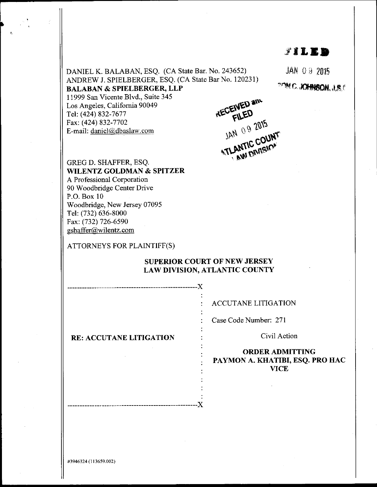## 3"TT,ET

 $JAN$  09 2015

**"YMC.JOHNSON, J.S.C** 

DANIEL K. BALABAN, ESQ. (CA State Bar. No. 243652) ANDREW J. SPIELBERGER, ESQ. (CA State Bar No. 120231) BALABAN & SPIELBERGER, LLP

I 1999 San Vicente B1vd., Suite 345

Los Angeles, Califomia 90049 Tel: (424) 832-7677 Fax: (424) 832-7702 E-mail: daniel @dbaslaw.com

**KECEIVED and**<br>KECEIVED and GREG D. SHAFFER, ESQ. WELL ANTIC COUNT

WILENTZ GOLDMAN & SPITZER A Professional Corporation

90 Woodbridge Center Drive P.O. Box 10 Woodbridge, New Jersey 07095 Tel: (732) 636-8000 Fax: (732) 726-6590 gshaffer@.wilentz. com

ATTORNEYS FOR PLAINTIFF(S)

## SUPERIOR COURT OF NEW JERSEY LAW DIVISION, ATLANTIC COUNTY

x

 $-X$ \_\_\_\_\_\_\_\_\_\_\_\_\_\_\_\_\_\_\_\_\_\_**\_\_\_\_\_\_\_\_\_\_\_\_** 

ACCUTANE LITIGATION

Case Code Number: 271

Civil Action

ORDERADMITTING PAYMON A. KHATIBI, ESQ. PRO HAC VICE

RE: ACCUTANE LITIGATION

#3946324 (113659.002)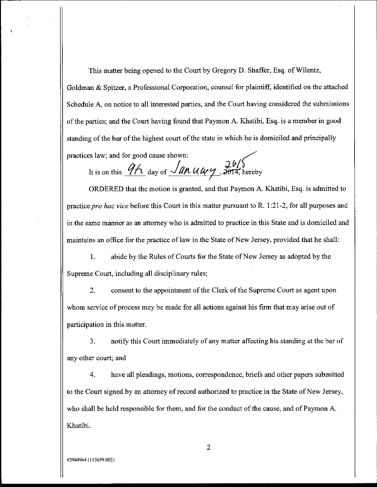This matter being opened to the Court by Gregory D. Shaffer, Esq. of Wilentz, Goldman & Spitzer, a Professional Corporation, counsel for plaintiff, identified on the attached Schedule A, on notice to all interested parties, and the Court having considered the submissions of the parties; and the Court having found that Paymon A. Khatibi, Esq. is a member in good standing of the bar of the highest court of the state in which he is domiciled and principally practices law; and for good cause shown:

It is on this  $9h$  day of  $\sqrt{dn} u \omega y$ , 2014, hereby

ORDERED that the motion is granted, and that Paymon A. Khatibi, Esq. is admitted to practice pro hac vice before this Court in this matter pursuant to R. 1:21-2, for all purposes and in the same manner as an attomey who is admitted to practice in this State and is domiciled and maintains an office for the practice of law in the State of New Jersey, provided that he shall:

1. abide by the Rules of Courts for the State of New Jersey as adopted by the Supreme Court, including all disciplinary rules;

2. consent to the appointment of the Clerk of the Supreme Court as agent upon whom service of process may be made for all actions against his frm that may arise out of participation in this matter.

3. notify this Court immediately of any matter affecting his standing at the bar of any other court; and

4, have all pleadings, motions, correspondence, briefs and other papers submitted to the Court signed by an attorney of record authorized to practice in the State of New Jersey, who shall be held responsible for them, and for the conduct of the cause, and of Paymon A. Khatibi.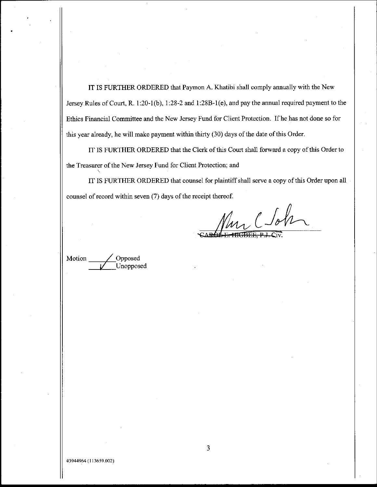IT IS FURTHER ORDERED that Paymon A. Khatibi shall comply annually with the New Jersey Rules of Court, R. 1:20-1(b), 1:28-2 and 1:28B-1(e), and pay the annual required payment to the Ethics Financial Committee and the New Jersey Fund for Client Protection. If he has not done so for this year already, he will make payment within thirty (30) days of the date of this Order.

IT IS FURTHER ORDERED that the Clerk of this Court shall forward a copy of this Order to the Treasurer of the New Jersey Fund for Client Protection; and

IT IS FURTHER ORDERED that counsel for plaintiff shall serve a copy of this Order upon all counsel of record within seven (7) days of the receipt thereof.

m C Sohn

Motion  $\frac{\qquad \qquad \text{Opposed}}{\qquad \qquad \text{Unopposed}}$